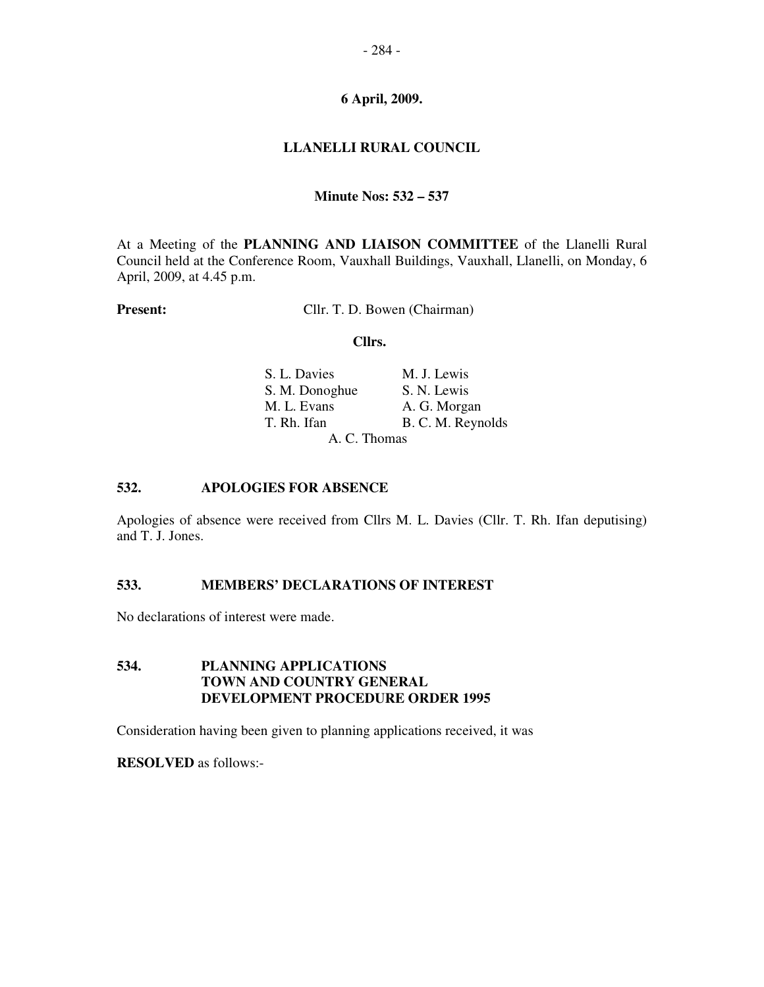## - 284 -

#### **6 April, 2009.**

## **LLANELLI RURAL COUNCIL**

### **Minute Nos: 532 – 537**

At a Meeting of the **PLANNING AND LIAISON COMMITTEE** of the Llanelli Rural Council held at the Conference Room, Vauxhall Buildings, Vauxhall, Llanelli, on Monday, 6 April, 2009, at 4.45 p.m.

**Present:** Cllr. T. D. Bowen (Chairman)

#### **Cllrs.**

| S. L. Davies   | M. J. Lewis       |
|----------------|-------------------|
| S. M. Donoghue | S. N. Lewis       |
| M. L. Evans    | A. G. Morgan      |
| T. Rh. Ifan    | B. C. M. Reynolds |
|                | A. C. Thomas      |

#### **532. APOLOGIES FOR ABSENCE**

Apologies of absence were received from Cllrs M. L. Davies (Cllr. T. Rh. Ifan deputising) and T. J. Jones.

## **533. MEMBERS' DECLARATIONS OF INTEREST**

No declarations of interest were made.

# **534. PLANNING APPLICATIONS TOWN AND COUNTRY GENERAL DEVELOPMENT PROCEDURE ORDER 1995**

Consideration having been given to planning applications received, it was

**RESOLVED** as follows:-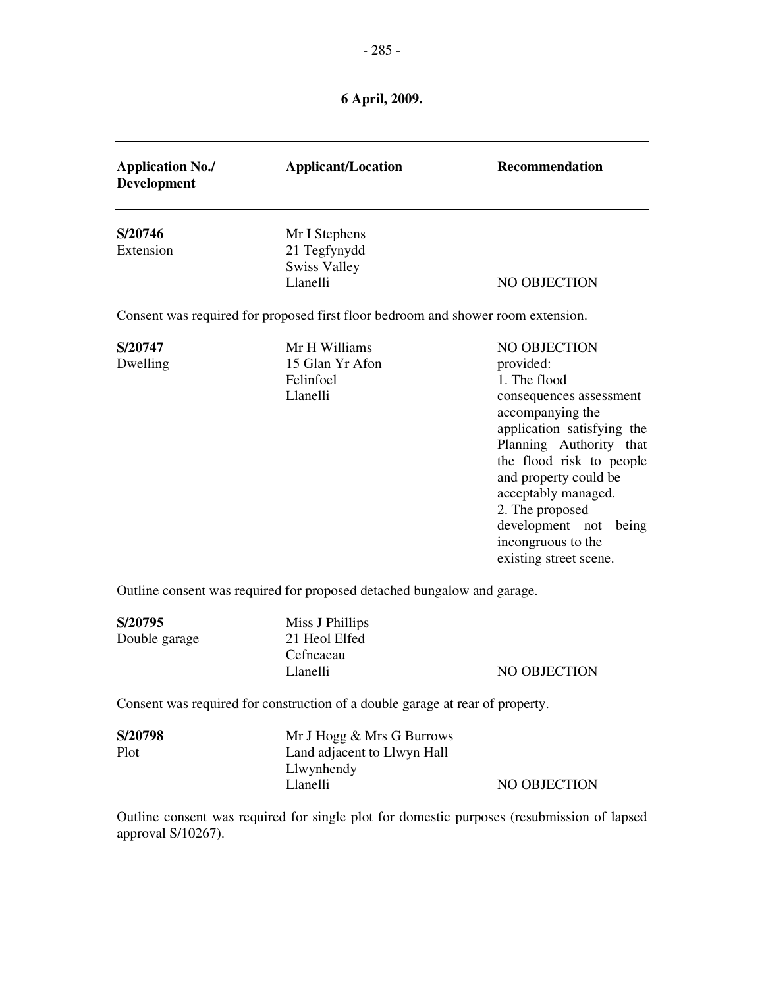| <b>Application No./</b><br><b>Development</b> | <b>Applicant/Location</b>                                                        | <b>Recommendation</b>                                                                                                                                                                                                                                                                                                            |
|-----------------------------------------------|----------------------------------------------------------------------------------|----------------------------------------------------------------------------------------------------------------------------------------------------------------------------------------------------------------------------------------------------------------------------------------------------------------------------------|
| S/20746<br>Extension                          | Mr I Stephens<br>21 Tegfynydd<br><b>Swiss Valley</b><br>Llanelli                 | NO OBJECTION                                                                                                                                                                                                                                                                                                                     |
|                                               | Consent was required for proposed first floor bedroom and shower room extension. |                                                                                                                                                                                                                                                                                                                                  |
| S/20747<br>Dwelling                           | Mr H Williams<br>15 Glan Yr Afon<br>Felinfoel<br>Llanelli                        | <b>NO OBJECTION</b><br>provided:<br>1. The flood<br>consequences assessment<br>accompanying the<br>application satisfying the<br>Planning Authority that<br>the flood risk to people<br>and property could be<br>acceptably managed.<br>2. The proposed<br>development not being<br>incongruous to the<br>existing street scene. |
|                                               | Outline consent was required for proposed detached bungalow and garage.          |                                                                                                                                                                                                                                                                                                                                  |
| S/20795<br>Double garage                      | Miss J Phillips<br>21 Heol Elfed<br>Cefncaeau<br>Llanelli                        | NO OBJECTION                                                                                                                                                                                                                                                                                                                     |

Consent was required for construction of a double garage at rear of property.

| S/20798 | Mr J Hogg $\&$ Mrs G Burrows |              |
|---------|------------------------------|--------------|
| Plot    | Land adjacent to Llwyn Hall  |              |
|         | Llwynhendy                   |              |
|         | Llanelli                     | NO OBJECTION |

Outline consent was required for single plot for domestic purposes (resubmission of lapsed approval S/10267).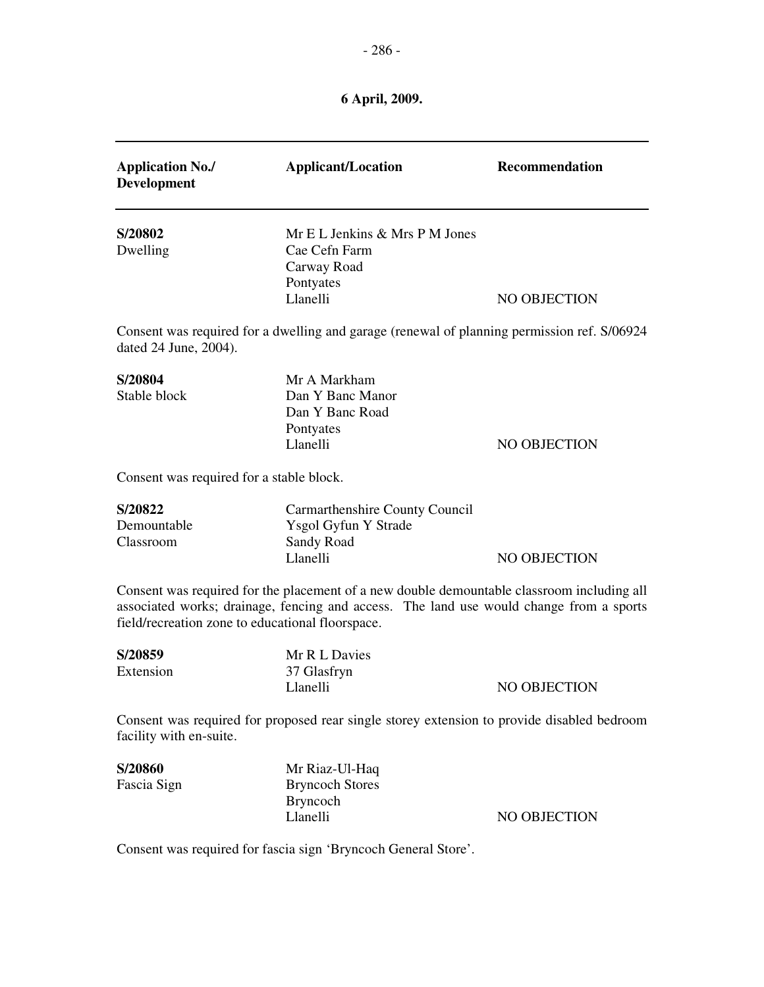| <b>Application No./</b><br><b>Development</b>    | <b>Applicant/Location</b>                                      | Recommendation                                                                                                                                                                        |
|--------------------------------------------------|----------------------------------------------------------------|---------------------------------------------------------------------------------------------------------------------------------------------------------------------------------------|
| S/20802                                          | Mr E L Jenkins & Mrs P M Jones                                 |                                                                                                                                                                                       |
| Dwelling                                         | Cae Cefn Farm                                                  |                                                                                                                                                                                       |
|                                                  | Carway Road                                                    |                                                                                                                                                                                       |
|                                                  | Pontyates                                                      |                                                                                                                                                                                       |
|                                                  | Llanelli                                                       | NO OBJECTION                                                                                                                                                                          |
| dated 24 June, 2004).                            |                                                                | Consent was required for a dwelling and garage (renewal of planning permission ref. S/06924                                                                                           |
| S/20804                                          | Mr A Markham                                                   |                                                                                                                                                                                       |
| Stable block                                     | Dan Y Banc Manor                                               |                                                                                                                                                                                       |
|                                                  | Dan Y Banc Road                                                |                                                                                                                                                                                       |
|                                                  | Pontyates                                                      |                                                                                                                                                                                       |
|                                                  | Llanelli                                                       | NO OBJECTION                                                                                                                                                                          |
| Consent was required for a stable block.         |                                                                |                                                                                                                                                                                       |
| S/20822                                          | Carmarthenshire County Council                                 |                                                                                                                                                                                       |
| Demountable                                      | Ysgol Gyfun Y Strade                                           |                                                                                                                                                                                       |
| Classroom                                        | Sandy Road                                                     |                                                                                                                                                                                       |
|                                                  | Llanelli                                                       | NO OBJECTION                                                                                                                                                                          |
| field/recreation zone to educational floorspace. |                                                                | Consent was required for the placement of a new double demountable classroom including all<br>associated works; drainage, fencing and access. The land use would change from a sports |
| S/20859                                          | Mr R L Davies                                                  |                                                                                                                                                                                       |
| Extension                                        | 37 Glasfryn                                                    |                                                                                                                                                                                       |
|                                                  | Llanelli                                                       | NO OBJECTION                                                                                                                                                                          |
| facility with en-suite.                          |                                                                | Consent was required for proposed rear single storey extension to provide disabled bedroom                                                                                            |
| S/20860                                          | Mr Riaz-Ul-Haq                                                 |                                                                                                                                                                                       |
| Fascia Sign                                      | <b>Bryncoch Stores</b>                                         |                                                                                                                                                                                       |
|                                                  | <b>Bryncoch</b>                                                |                                                                                                                                                                                       |
|                                                  | Llanelli                                                       | NO OBJECTION                                                                                                                                                                          |
|                                                  | Consent was required for fascia sign 'Bryncoch General Store'. |                                                                                                                                                                                       |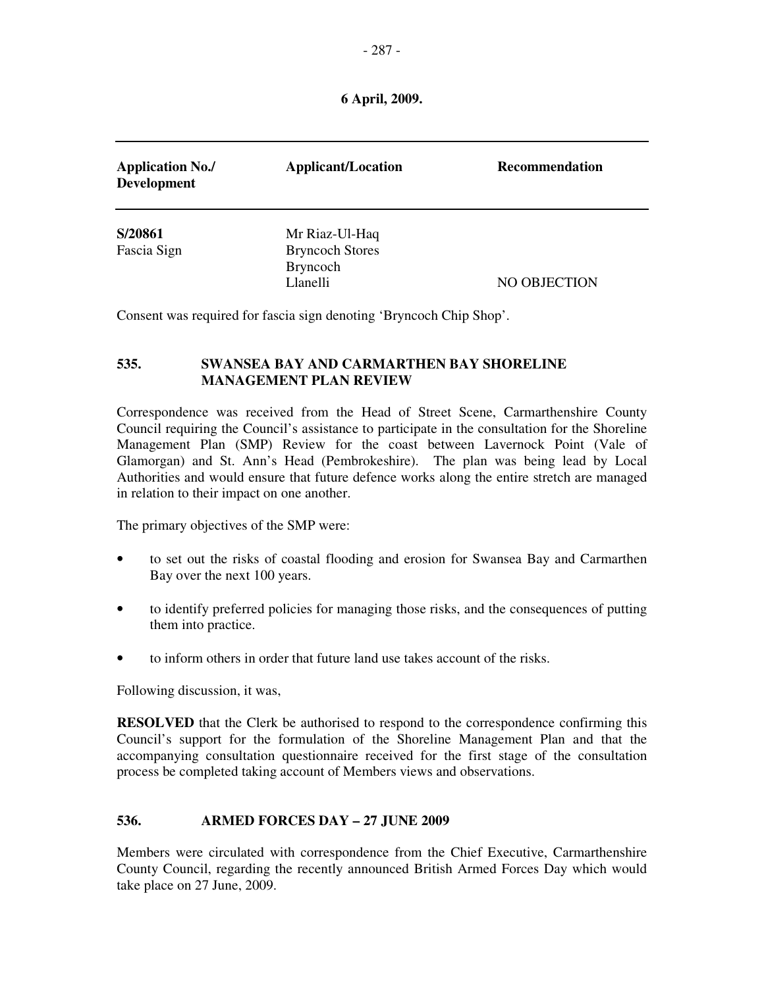| <b>Application No./</b><br><b>Development</b> | <b>Applicant/Location</b>                             | <b>Recommendation</b> |
|-----------------------------------------------|-------------------------------------------------------|-----------------------|
| S/20861                                       | Mr Riaz-Ul-Haq                                        |                       |
| Fascia Sign                                   | <b>Bryncoch Stores</b><br><b>Bryncoch</b><br>Llanelli | NO OBJECTION          |

Consent was required for fascia sign denoting 'Bryncoch Chip Shop'.

## **535. SWANSEA BAY AND CARMARTHEN BAY SHORELINE MANAGEMENT PLAN REVIEW**

Correspondence was received from the Head of Street Scene, Carmarthenshire County Council requiring the Council's assistance to participate in the consultation for the Shoreline Management Plan (SMP) Review for the coast between Lavernock Point (Vale of Glamorgan) and St. Ann's Head (Pembrokeshire). The plan was being lead by Local Authorities and would ensure that future defence works along the entire stretch are managed in relation to their impact on one another.

The primary objectives of the SMP were:

- to set out the risks of coastal flooding and erosion for Swansea Bay and Carmarthen Bay over the next 100 years.
- to identify preferred policies for managing those risks, and the consequences of putting them into practice.
- to inform others in order that future land use takes account of the risks.

Following discussion, it was,

**RESOLVED** that the Clerk be authorised to respond to the correspondence confirming this Council's support for the formulation of the Shoreline Management Plan and that the accompanying consultation questionnaire received for the first stage of the consultation process be completed taking account of Members views and observations.

# **536. ARMED FORCES DAY – 27 JUNE 2009**

Members were circulated with correspondence from the Chief Executive, Carmarthenshire County Council, regarding the recently announced British Armed Forces Day which would take place on 27 June, 2009.